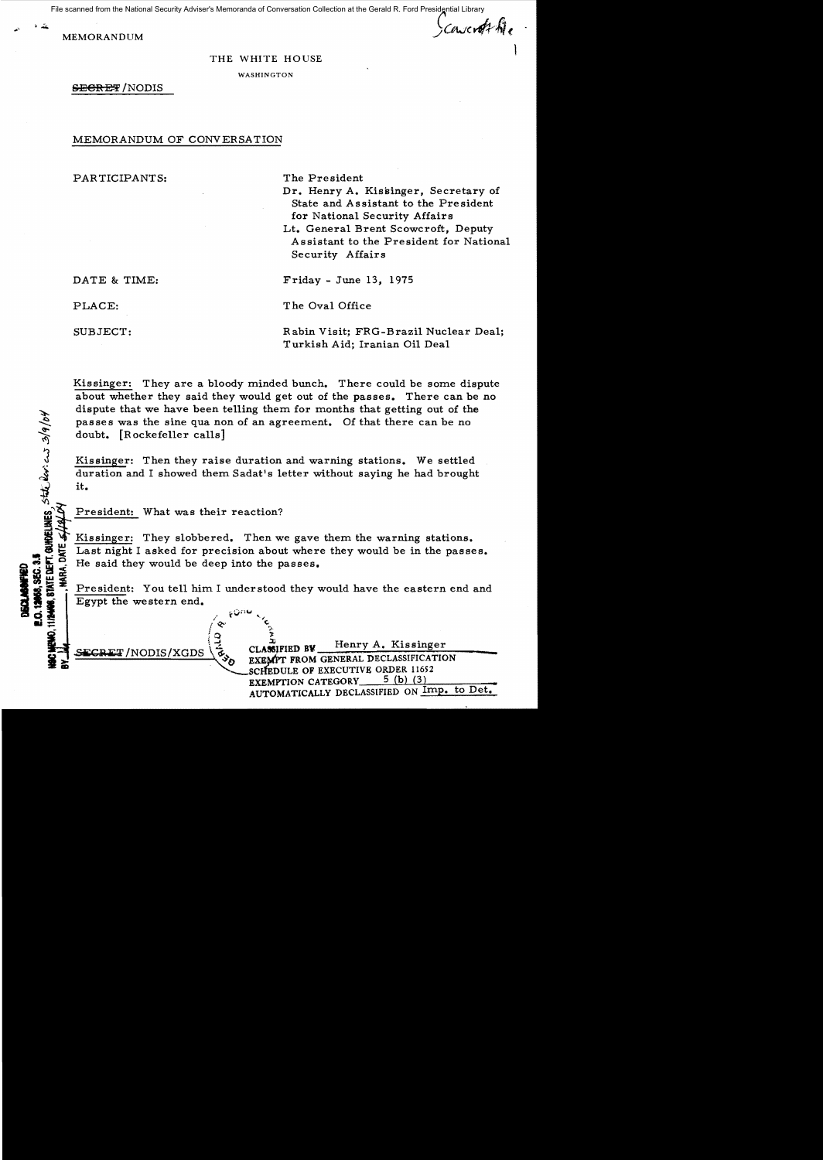File scanned from the National Security Adviser's Memoranda of Conversation Collection at the Gerald R. Ford Presidential Library

MEMORANDUM SEMORANDUM

 $\mathbf{I}$ 

THE WHITE HOUSE

WASHINGTON

SECRET/NODIS

## MEMORANDUM OF CONVERSATION

PARTICIPANTS: The President

- Dr. Henry A. Kissinger, Secretary of State and Assistant to the President for National Security Affairs
- Lt. General Brent Scowcroft, Deputy Assistant to the President for National Security Affairs

DATE & TIME: Friday - June 13, 1975

PLACE: The Oval Office

 $\Delta$ 

**IS CONS.** ទួ ធ្នូ<br>ម្តង ទូ

SUBJECT: Rabin Visit; FRG-Brazil Nuclear Deal; Turkish Aid; Iranian Oil Deal

Kissinger: They are a bloody minded bunch. There could be some dispute about whether they said they would get out of the passes. There can be no dispute that we have been telling them for months that getting out of the passes was the sine qua non of an agreement. Of that there can be no  $doubt.$  [Rockefeller calls]

Kissinger: Then they raise duration and warning stations. We settled duration and I showed them Sadat's letter without saying he had brought  $\overline{Q}$  it.

President: What was their reaction?

Kissinger: They slobbered. Then we gave them the warning stations. Last night I asked for precision about where they would be in the passes.  $\frac{6}{\pi}$   $\frac{1}{2}$  Last night I asked for precision about where<br> $\frac{1}{2}$   $\frac{1}{2}$  He said they would be deep into the passes.

President: You tell him I understood they would have the eastern end and Egypt the western end.

**1974** 

 $\blacksquare$ 

CLASSIFIED BV Henry A. Kissinger NODIS/XGDS \& CLASSIFIED BV EXEMPT FROM GENERAL DECLASSIFICATION CHEDULE OF EXECUTIVE ORDER 11652<br>EXEMPTION CATEGORY 5 (b) (3) EXEMPTION CATEGORY 5 (b) (3)<br>AUTOMATICALLY DECLASSIFIED ON Imp. to Det.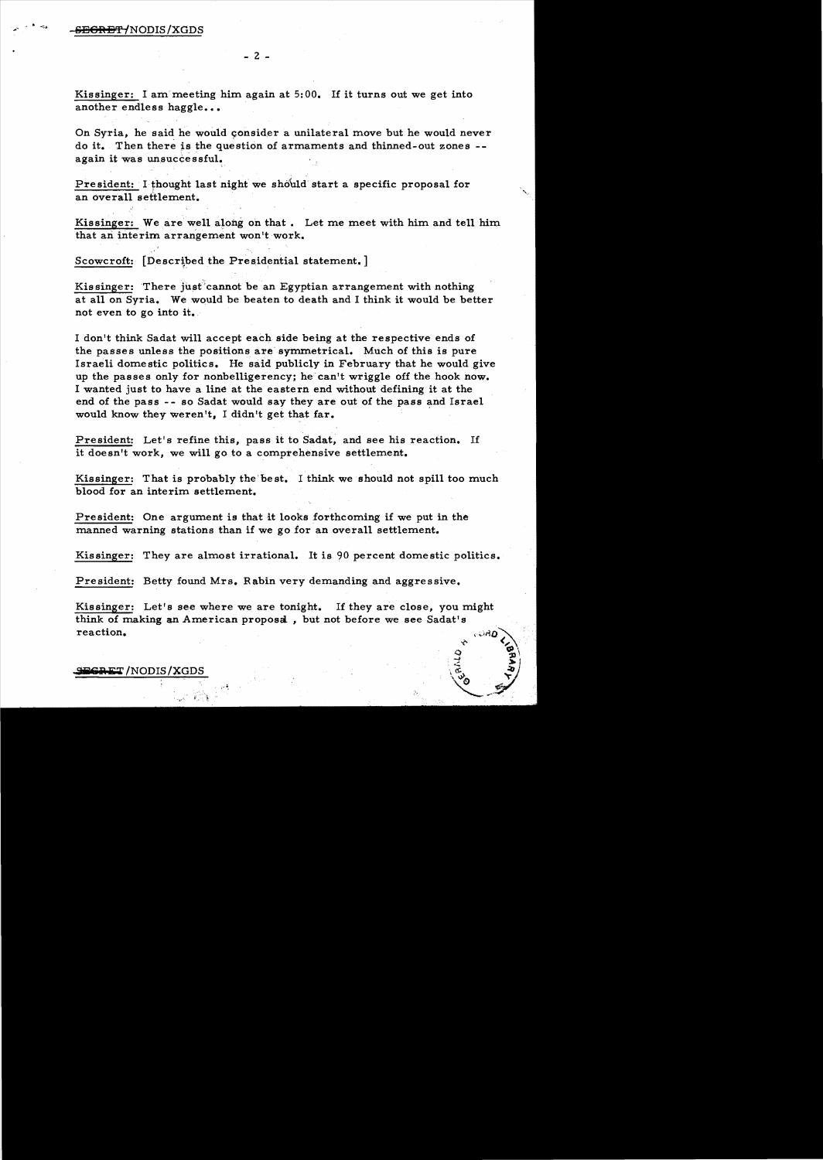Kissinger: I am meeting him again at  $5:00$ . If it turns out we get into another endless haggle...

On Syria, he said he would consider a unilateral move but he would never do it. Then there is the question of armaments and thinned-out zones -again it was unsuccessful.

President: I thought last night we should start a specific proposal for an overall settlement.

Kissinger: We are well along on that. Let me meet with him and tell him that an interim arrangement won't work.

Scowcroft: [Described the Presidential statement.]

Kissinger: There just cannot be an Egyptian arrangement with nothing at all on Syria. We would be beaten to death and I think it would be better not even to go into it.

I don't think Sadat will accept each side being at the respective ends of the passes unless the positions are symmetrical. Much of this is pure Israeli domestic politics. He said publicly in February that he would give up the passes only for nonbelligerency; he can't wriggle off the hook now. I wanted just to have a line at the eastern end without defining it at the end of the pass - - so Sadat would say they are out of the pass and Israel would know they weren't, I didn't get that far.

President: Let's refine this, pass it to Sadat, and see his reaction. If it doesn't work, we will go to a comprehensive settlement.

Kissinger: That is probably the'best. I think we should not spill too much blood for an interim settlement.

President: One argument is that it looks forthcoming if we put in the manned warning stations than if we go for an overall settlement.

Kissinger: They are almost irrational. It is 90 percent domestic politics.

President: Betty found Mrs. Rabin very demanding and aggressive.

Kissinger: Let's see where we are tonight. If they are close, you might think of making an American proposa , but not before we see Sadat's  $\text{reaction.}$   $\text{and}$   $\text{and}$   $\text{and}$   $\text{and}$   $\text{and}$   $\text{and}$   $\text{and}$   $\text{and}$   $\text{and}$   $\text{and}$   $\text{and}$   $\text{and}$   $\text{and}$   $\text{and}$   $\text{and}$   $\text{and}$   $\text{and}$   $\text{and}$   $\text{and}$   $\text{and}$   $\text{and}$   $\text{and}$   $\text{and}$   $\text{and}$   $\text{and}$   $\text{and}$   $\text{$ 

 $\begin{pmatrix} 1 & 1 \\ 1 & 1 \\ 1 & 1 \end{pmatrix}$ 

\(e) , video , video , video , video , video , video , video , video , video , video , video , video , video , v<br>Taxable , video , video , video , video , video , video , video , video , video , video , video , video , vid 'Z-~~: *.* 

## **sret /NODIS / XGL**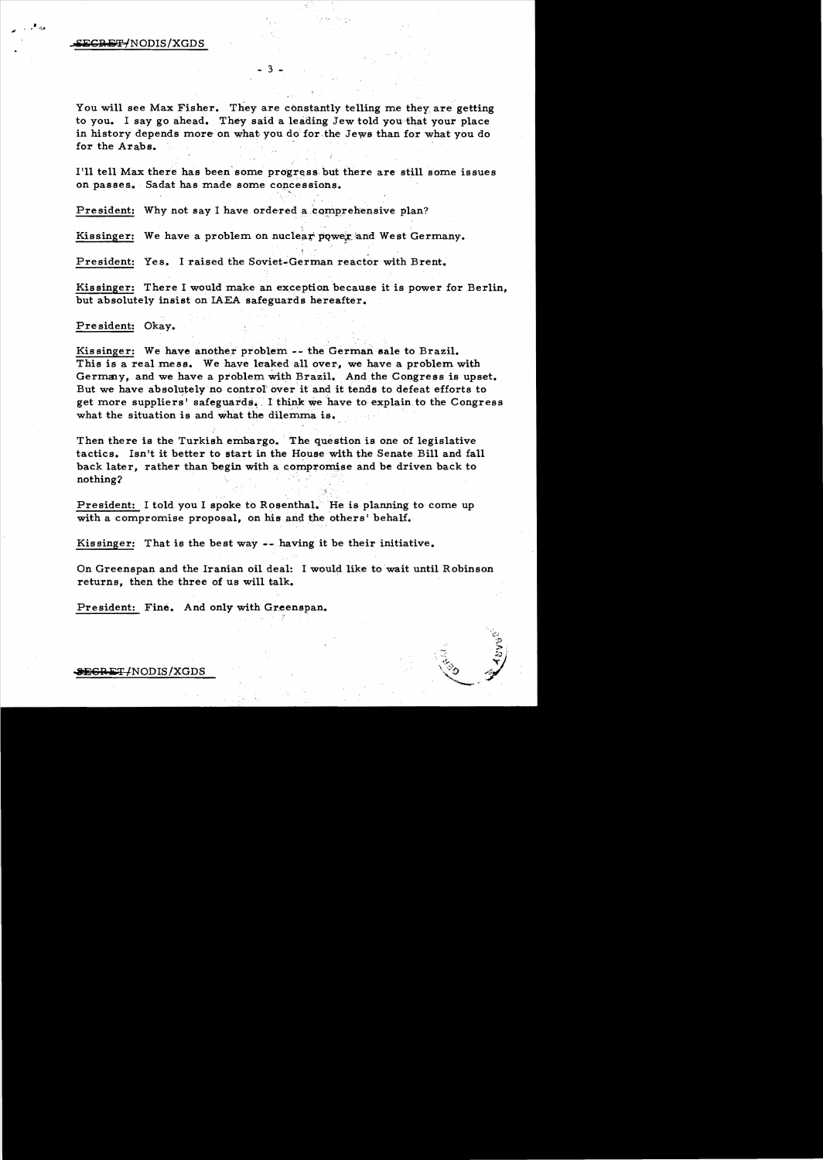## ECRET/NODIS/XGDS

,. -::;>

,,

You will see Max Fisher. They are constantly telling me they, are getting to you. I say go ahead. They-said a leading Jew told you that your place in history depends more on what you do for, the Jews than for what you do for the Arabs.

I'll tell Max there has been'some progress but there are still some issues on passes. Sadat has made some concessions.

President: Why not say I have ordered a comprehensive plan?

Kissinger: We have a problem on nuclear power and West Germany.

President: Yes. I raised the Soviet-German reactor with Brent.

Kissinger: There I would make an exception because it is power for Berlin, but absolutely insist on LAEA safeguards hereafter.

 $\mathcal{L}$ 

## Pre sident: Okay.

Kissinger: We have another problem -- the German sale to Brazil. This is a real mess. We have leaked all over, we have a problem with Germany, and we have a problem with Brazil. And the Congress is upset. But we have absolutely no control' over it and it tends to defeat efforts to get more suppliers' safeguards. I think we have to explain to the Congress what the situation is and what the dilemma is. .

Then there is the Turkish embargo. The question is one of legislative tactics. Isn't it better to start in the House with the Senate Bill and fall back later, rather than begin with a compromise and be driven back to nothing2

 $\tilde{k}$  ,

President: I told you I spoke to Rosenthal. He is planning to come up with a compromise proposal, on his and the others' behalf.

Kissinger: That is the best way --having it be their initiative.

On Greenspan and the Iranian oil deal: I would like to wait until Robinson returns, then the three of us will talk.

President: Fine. And only with Greenspan.

\$<del>ECRET/</del>NODIS/XGDS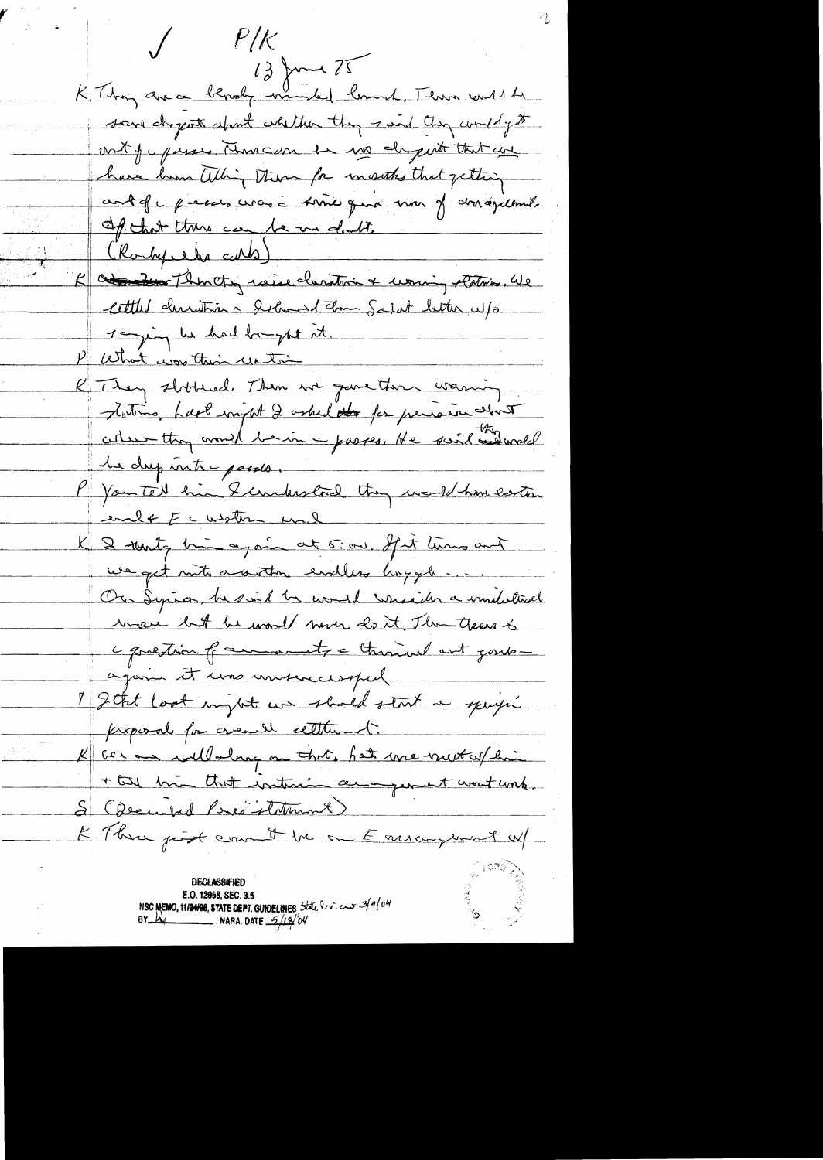$P/\!\!/$  $13$  June 25 K Thay are a blacky would lound, There will be save dreport about whether they said they would get out of passes, runneder is no deport that are have home alling them for months that getting contefu pieces crase some qua mon of donagelbout. of that this can be an doubt. (Rockepele cards) K at then the raise clumation & worning eletions. We Cettled christian - delivered Zon Salat better w/s 1 min he had bought it. P What was their untime K They slidded. Then we gave then warning Totins, hast might I asked the personne strit he dup inte posses. P You tell him & understood they would have easter evile Ecustin und K & monty him again at 5:00. If it turns and we get not a autor evalles hoygh... On Syria, he said he would wright a immobilisel were but he would now do it Than years to c question of account a through ant goute. again it was unsuccessful I geht look my st un should start a specific proposal for great settlement. K Ger an willaling on that, hat we must us hai + the bin that instance an general want work. S (December Peres statement) K Three perst can it be on Earlangement W/ **DECI ASSIFIED** E.O. 12958, SEC. 3.5 NSC MEMO, 11/24/28, STATE DEPT. GUIDELINES 5tate leview 3/9/04 **NARA.** DATE  $\frac{6}{4}$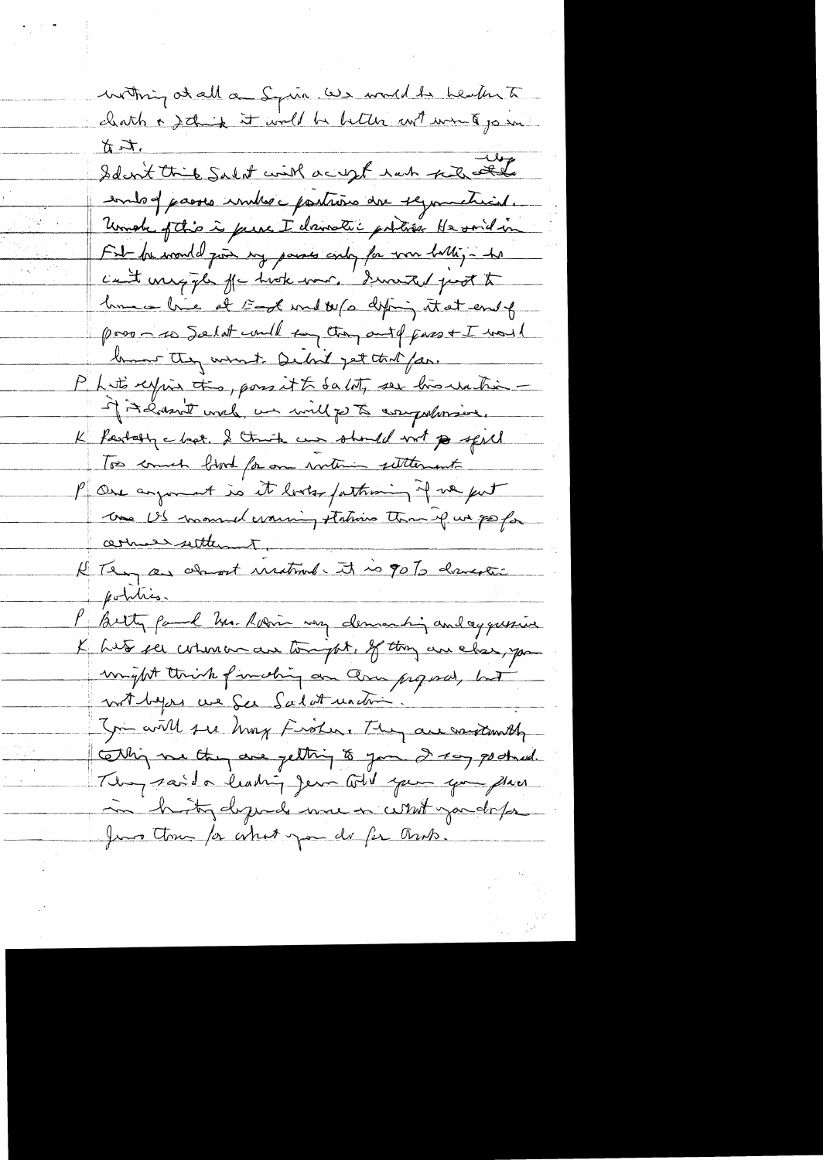withing at all a Squir we would be health to clears a stain it will be better with words go in to it. This Salit with acres hat pulled entog passes imbres portrères dre 19 montreal. Under of this is prese I donnatic portion He said in Fit be wonded just my passes andy for your halling - he can't uniquely for hook war. I haven't feet to home - hier at 5-of word by a difing it at end of poso - to Solat could tay though pass + I was 1 brown they want Debit get that for. Phito expire the, possitt dato, see his reaching of it gasn't with, we will go to comprehensive. K fastally a bot. I think our should not po spell Too comment blood for one rothing settlement P One argument is it looks fathering of we put Une US momed warning stations than if we go for armed settlement. K Tempas adament instrumer it is 90% dramente P Betty paul Mr. Robin very demanding and aggussive K Lits see cohoman au toujet. If they are close, you might think finishing an ann proposed, hat not byen une fer falat machine. In will see hory froher. They are writing the This me they are getting to your 2 toy goodward. They said a leading Jean told your your flag. in hity depends me in what you do for Juno thour for what you do for thats.